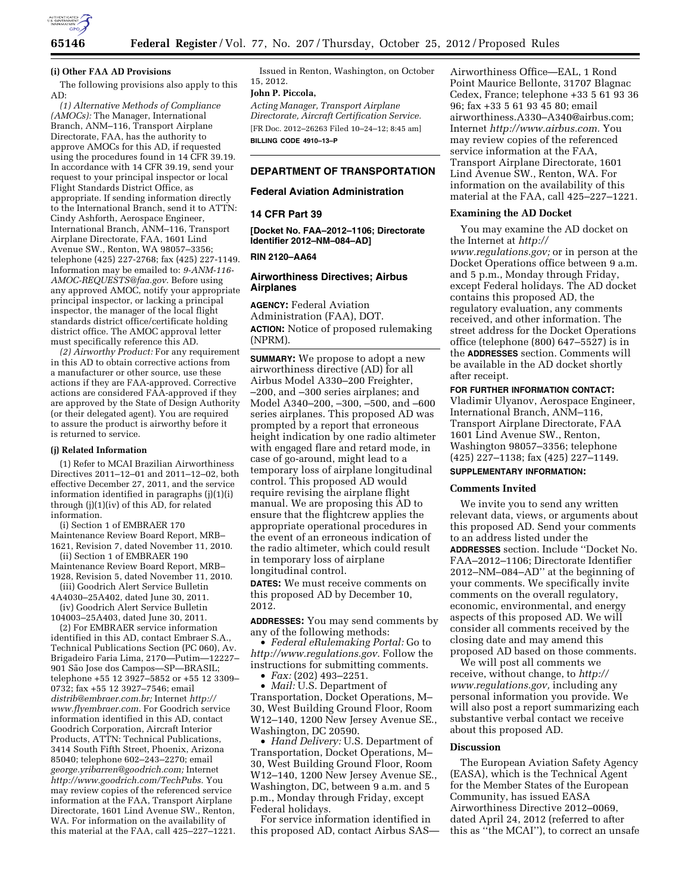

### **(i) Other FAA AD Provisions**

The following provisions also apply to this AD:

*(1) Alternative Methods of Compliance (AMOCs):* The Manager, International Branch, ANM–116, Transport Airplane Directorate, FAA, has the authority to approve AMOCs for this AD, if requested using the procedures found in 14 CFR 39.19. In accordance with 14 CFR 39.19, send your request to your principal inspector or local Flight Standards District Office, as appropriate. If sending information directly to the International Branch, send it to ATTN: Cindy Ashforth, Aerospace Engineer, International Branch, ANM–116, Transport Airplane Directorate, FAA, 1601 Lind Avenue SW., Renton, WA 98057–3356; telephone (425) 227-2768; fax (425) 227-1149. Information may be emailed to: *[9-ANM-116-](mailto:9-ANM-116-AMOC-REQUESTS@faa.gov) [AMOC-REQUESTS@faa.gov.](mailto:9-ANM-116-AMOC-REQUESTS@faa.gov)* Before using any approved AMOC, notify your appropriate principal inspector, or lacking a principal inspector, the manager of the local flight standards district office/certificate holding district office. The AMOC approval letter must specifically reference this AD.

*(2) Airworthy Product:* For any requirement in this AD to obtain corrective actions from a manufacturer or other source, use these actions if they are FAA-approved. Corrective actions are considered FAA-approved if they are approved by the State of Design Authority (or their delegated agent). You are required to assure the product is airworthy before it is returned to service.

#### **(j) Related Information**

(1) Refer to MCAI Brazilian Airworthiness Directives 2011–12–01 and 2011–12–02, both effective December 27, 2011, and the service information identified in paragraphs (j)(1)(i) through (j)(1)(iv) of this AD, for related information.

(i) Section 1 of EMBRAER 170 Maintenance Review Board Report, MRB– 1621, Revision 7, dated November 11, 2010.

(ii) Section 1 of EMBRAER 190 Maintenance Review Board Report, MRB–

1928, Revision 5, dated November 11, 2010. (iii) Goodrich Alert Service Bulletin

4A4030–25A402, dated June 30, 2011. (iv) Goodrich Alert Service Bulletin 104003–25A403, dated June 30, 2011.

(2) For EMBRAER service information identified in this AD, contact Embraer S.A., Technical Publications Section (PC 060), Av. Brigadeiro Faria Lima, 2170—Putim—12227– 901 São Jose dos Campos-SP-BRASIL; telephone +55 12 3927–5852 or +55 12 3309– 0732; fax +55 12 3927–7546; email *[distrib@embraer.com.br;](mailto:distrib@embraer.com.br)* Internet *[http://](http://www.flyembraer.com)  [www.flyembraer.com.](http://www.flyembraer.com)* For Goodrich service information identified in this AD, contact Goodrich Corporation, Aircraft Interior Products, ATTN: Technical Publications, 3414 South Fifth Street, Phoenix, Arizona 85040; telephone 602–243–2270; email *[george.yribarren@goodrich.com;](mailto:george.yribarren@goodrich.com)* Internet *[http://www.goodrich.com/TechPubs.](http://www.goodrich.com/TechPubs)* You may review copies of the referenced service information at the FAA, Transport Airplane Directorate, 1601 Lind Avenue SW., Renton, WA. For information on the availability of this material at the FAA, call 425–227–1221.

Issued in Renton, Washington, on October 15, 2012.

### **John P. Piccola,**

*Acting Manager, Transport Airplane Directorate, Aircraft Certification Service.*  [FR Doc. 2012–26263 Filed 10–24–12; 8:45 am] **BILLING CODE 4910–13–P** 

### **DEPARTMENT OF TRANSPORTATION**

### **Federal Aviation Administration**

#### **14 CFR Part 39**

**[Docket No. FAA–2012–1106; Directorate Identifier 2012–NM–084–AD]** 

## **RIN 2120–AA64**

## **Airworthiness Directives; Airbus Airplanes**

**AGENCY:** Federal Aviation Administration (FAA), DOT. **ACTION:** Notice of proposed rulemaking (NPRM).

**SUMMARY:** We propose to adopt a new airworthiness directive (AD) for all Airbus Model A330–200 Freighter, –200, and –300 series airplanes; and Model A340–200, –300, –500, and –600 series airplanes. This proposed AD was prompted by a report that erroneous height indication by one radio altimeter with engaged flare and retard mode, in case of go-around, might lead to a temporary loss of airplane longitudinal control. This proposed AD would require revising the airplane flight manual. We are proposing this AD to ensure that the flightcrew applies the appropriate operational procedures in the event of an erroneous indication of the radio altimeter, which could result in temporary loss of airplane longitudinal control.

**DATES:** We must receive comments on this proposed AD by December 10, 2012.

**ADDRESSES:** You may send comments by any of the following methods:

• *Federal eRulemaking Portal:* Go to *[http://www.regulations.gov.](http://www.regulations.gov)* Follow the instructions for submitting comments.

• *Fax:* (202) 493–2251.

• *Mail:* U.S. Department of Transportation, Docket Operations, M– 30, West Building Ground Floor, Room W12–140, 1200 New Jersey Avenue SE., Washington, DC 20590.

• *Hand Delivery:* U.S. Department of Transportation, Docket Operations, M– 30, West Building Ground Floor, Room W12–140, 1200 New Jersey Avenue SE., Washington, DC, between 9 a.m. and 5 p.m., Monday through Friday, except Federal holidays.

For service information identified in this proposed AD, contact Airbus SAS—

Airworthiness Office—EAL, 1 Rond Point Maurice Bellonte, 31707 Blagnac Cedex, France; telephone +33 5 61 93 36 96; fax +33 5 61 93 45 80; email [airworthiness.A330–A340@airbus.com](mailto:airworthiness.A330%E2%80%93A340@airbus.com); Internet *[http://www.airbus.com.](http://www.airbus.com)* You may review copies of the referenced service information at the FAA, Transport Airplane Directorate, 1601 Lind Avenue SW., Renton, WA. For information on the availability of this material at the FAA, call 425–227–1221.

#### **Examining the AD Docket**

You may examine the AD docket on the Internet at *[http://](http://www.regulations.gov)  [www.regulations.gov;](http://www.regulations.gov)* or in person at the Docket Operations office between 9 a.m. and 5 p.m., Monday through Friday, except Federal holidays. The AD docket contains this proposed AD, the regulatory evaluation, any comments received, and other information. The street address for the Docket Operations office (telephone (800) 647–5527) is in the **ADDRESSES** section. Comments will be available in the AD docket shortly after receipt.

## **FOR FURTHER INFORMATION CONTACT:**

Vladimir Ulyanov, Aerospace Engineer, International Branch, ANM–116, Transport Airplane Directorate, FAA 1601 Lind Avenue SW., Renton, Washington 98057–3356; telephone (425) 227–1138; fax (425) 227–1149.

# **SUPPLEMENTARY INFORMATION:**

#### **Comments Invited**

We invite you to send any written relevant data, views, or arguments about this proposed AD. Send your comments to an address listed under the **ADDRESSES** section. Include ''Docket No. FAA–2012–1106; Directorate Identifier 2012–NM–084–AD'' at the beginning of your comments. We specifically invite comments on the overall regulatory, economic, environmental, and energy aspects of this proposed AD. We will consider all comments received by the closing date and may amend this proposed AD based on those comments.

We will post all comments we receive, without change, to *[http://](http://www.regulations.gov) [www.regulations.gov,](http://www.regulations.gov)* including any personal information you provide. We will also post a report summarizing each substantive verbal contact we receive about this proposed AD.

### **Discussion**

The European Aviation Safety Agency (EASA), which is the Technical Agent for the Member States of the European Community, has issued EASA Airworthiness Directive 2012–0069, dated April 24, 2012 (referred to after this as ''the MCAI''), to correct an unsafe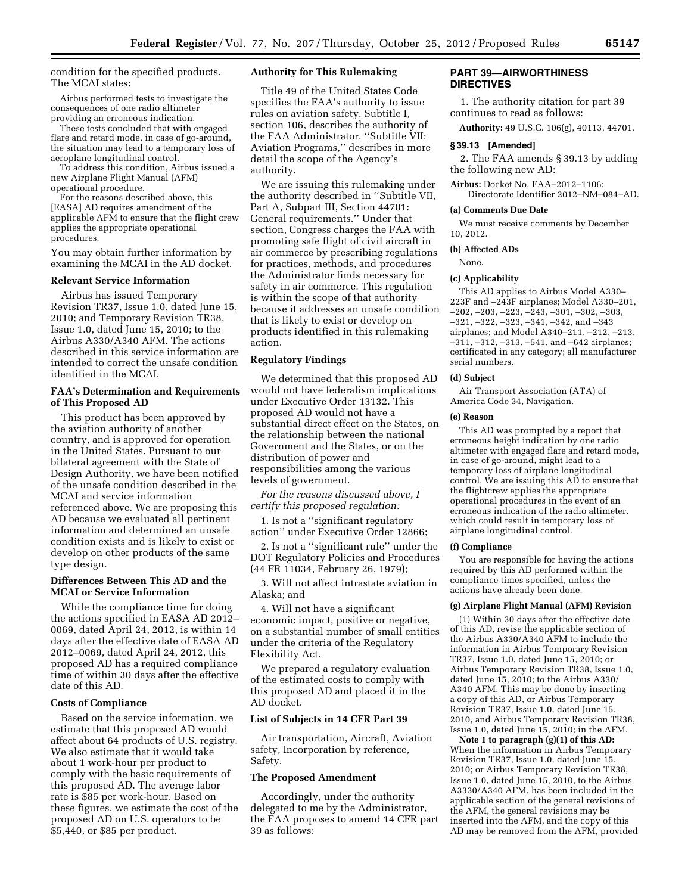condition for the specified products. The MCAI states:

Airbus performed tests to investigate the consequences of one radio altimeter providing an erroneous indication.

These tests concluded that with engaged flare and retard mode, in case of go-around, the situation may lead to a temporary loss of aeroplane longitudinal control.

To address this condition, Airbus issued a new Airplane Flight Manual (AFM) operational procedure.

For the reasons described above, this [EASA] AD requires amendment of the applicable AFM to ensure that the flight crew applies the appropriate operational procedures.

You may obtain further information by examining the MCAI in the AD docket.

### **Relevant Service Information**

Airbus has issued Temporary Revision TR37, Issue 1.0, dated June 15, 2010; and Temporary Revision TR38, Issue 1.0, dated June 15, 2010; to the Airbus A330/A340 AFM. The actions described in this service information are intended to correct the unsafe condition identified in the MCAI.

### **FAA's Determination and Requirements of This Proposed AD**

This product has been approved by the aviation authority of another country, and is approved for operation in the United States. Pursuant to our bilateral agreement with the State of Design Authority, we have been notified of the unsafe condition described in the MCAI and service information referenced above. We are proposing this AD because we evaluated all pertinent information and determined an unsafe condition exists and is likely to exist or develop on other products of the same type design.

### **Differences Between This AD and the MCAI or Service Information**

While the compliance time for doing the actions specified in EASA AD 2012– 0069, dated April 24, 2012, is within 14 days after the effective date of EASA AD 2012–0069, dated April 24, 2012, this proposed AD has a required compliance time of within 30 days after the effective date of this AD.

### **Costs of Compliance**

Based on the service information, we estimate that this proposed AD would affect about 64 products of U.S. registry. We also estimate that it would take about 1 work-hour per product to comply with the basic requirements of this proposed AD. The average labor rate is \$85 per work-hour. Based on these figures, we estimate the cost of the proposed AD on U.S. operators to be \$5,440, or \$85 per product.

### **Authority for This Rulemaking**

Title 49 of the United States Code specifies the FAA's authority to issue rules on aviation safety. Subtitle I, section 106, describes the authority of the FAA Administrator. ''Subtitle VII: Aviation Programs,'' describes in more detail the scope of the Agency's authority.

We are issuing this rulemaking under the authority described in ''Subtitle VII, Part A, Subpart III, Section 44701: General requirements.'' Under that section, Congress charges the FAA with promoting safe flight of civil aircraft in air commerce by prescribing regulations for practices, methods, and procedures the Administrator finds necessary for safety in air commerce. This regulation is within the scope of that authority because it addresses an unsafe condition that is likely to exist or develop on products identified in this rulemaking action.

### **Regulatory Findings**

We determined that this proposed AD would not have federalism implications under Executive Order 13132. This proposed AD would not have a substantial direct effect on the States, on the relationship between the national Government and the States, or on the distribution of power and responsibilities among the various levels of government.

*For the reasons discussed above, I certify this proposed regulation:* 

1. Is not a ''significant regulatory action'' under Executive Order 12866;

2. Is not a ''significant rule'' under the DOT Regulatory Policies and Procedures (44 FR 11034, February 26, 1979);

3. Will not affect intrastate aviation in Alaska; and

4. Will not have a significant economic impact, positive or negative, on a substantial number of small entities under the criteria of the Regulatory Flexibility Act.

We prepared a regulatory evaluation of the estimated costs to comply with this proposed AD and placed it in the AD docket.

### **List of Subjects in 14 CFR Part 39**

Air transportation, Aircraft, Aviation safety, Incorporation by reference, Safety.

### **The Proposed Amendment**

Accordingly, under the authority delegated to me by the Administrator, the FAA proposes to amend 14 CFR part 39 as follows:

### **PART 39—AIRWORTHINESS DIRECTIVES**

1. The authority citation for part 39 continues to read as follows:

**Authority:** 49 U.S.C. 106(g), 40113, 44701.

### **§ 39.13 [Amended]**

2. The FAA amends § 39.13 by adding the following new AD:

**Airbus:** Docket No. FAA–2012–1106; Directorate Identifier 2012–NM–084–AD.

#### **(a) Comments Due Date**

We must receive comments by December 10, 2012.

#### **(b) Affected ADs**

None.

#### **(c) Applicability**

This AD applies to Airbus Model A330– 223F and –243F airplanes; Model A330–201, –202, –203, –223, –243, –301, –302, –303, –321, –322, –323, –341, –342, and –343 airplanes; and Model A340–211, –212, –213, –311, –312, –313, –541, and –642 airplanes; certificated in any category; all manufacturer serial numbers.

#### **(d) Subject**

Air Transport Association (ATA) of America Code 34, Navigation.

### **(e) Reason**

This AD was prompted by a report that erroneous height indication by one radio altimeter with engaged flare and retard mode, in case of go-around, might lead to a temporary loss of airplane longitudinal control. We are issuing this AD to ensure that the flightcrew applies the appropriate operational procedures in the event of an erroneous indication of the radio altimeter, which could result in temporary loss of airplane longitudinal control.

#### **(f) Compliance**

You are responsible for having the actions required by this AD performed within the compliance times specified, unless the actions have already been done.

#### **(g) Airplane Flight Manual (AFM) Revision**

(1) Within 30 days after the effective date of this AD, revise the applicable section of the Airbus A330/A340 AFM to include the information in Airbus Temporary Revision TR37, Issue 1.0, dated June 15, 2010; or Airbus Temporary Revision TR38, Issue 1.0, dated June 15, 2010; to the Airbus A330/ A340 AFM. This may be done by inserting a copy of this AD, or Airbus Temporary Revision TR37, Issue 1.0, dated June 15, 2010, and Airbus Temporary Revision TR38, Issue 1.0, dated June 15, 2010; in the AFM.

**Note 1 to paragraph (g)(1) of this AD:**  When the information in Airbus Temporary Revision TR37, Issue 1.0, dated June 15, 2010; or Airbus Temporary Revision TR38, Issue 1.0, dated June 15, 2010, to the Airbus A3330/A340 AFM, has been included in the applicable section of the general revisions of the AFM, the general revisions may be inserted into the AFM, and the copy of this AD may be removed from the AFM, provided